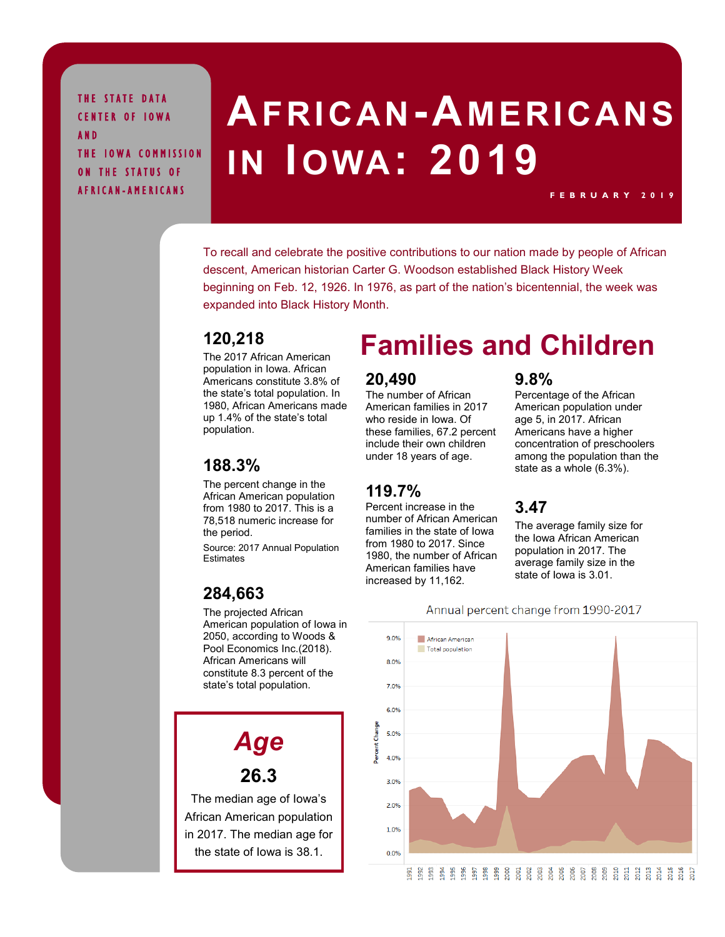THE STATE DATA CENTER OF IOWA A N D THE IOWA COMMISSION ON THE STATUS OF A F R I C A N - A M E R I C A N S

# **AFRICAN-A MERICANS IN IOWA: 2019**

To recall and celebrate the positive contributions to our nation made by people of African descent, American historian Carter G. Woodson established Black History Week beginning on Feb. 12, 1926. In 1976, as part of the nation's bicentennial, the week was expanded into Black History Month.

#### **120,218**

The 2017 African American population in Iowa. African Americans constitute 3.8% of the state's total population. In 1980, African Americans made up 1.4% of the state's total population.

#### **188.3%**

The percent change in the African American population from 1980 to 2017. This is a 78,518 numeric increase for the period.

Source: 2017 Annual Population Estimates

#### **284,663**

The projected African American population of Iowa in 2050, according to Woods & Pool Economics Inc.(2018). African Americans will constitute 8.3 percent of the state's total population.

# *Age*

**26.3**

The median age of Iowa's African American population in 2017. The median age for the state of Iowa is 38.1.

# **Families and Children**

#### **20,490**

The number of African American families in 2017 who reside in Iowa. Of these families, 67.2 percent include their own children under 18 years of age.

#### **119.7%**

Percent increase in the number of African American families in the state of Iowa from 1980 to 2017. Since 1980, the number of African American families have increased by 11,162.

#### **9.8%**

Percentage of the African American population under age 5, in 2017. African Americans have a higher concentration of preschoolers among the population than the state as a whole (6.3%).

**F E B R U A R Y 2 0 1 9**

#### **3.47**

The average family size for the Iowa African American population in 2017. The average family size in the state of Iowa is 3.01.



Annual percent change from 1990-2017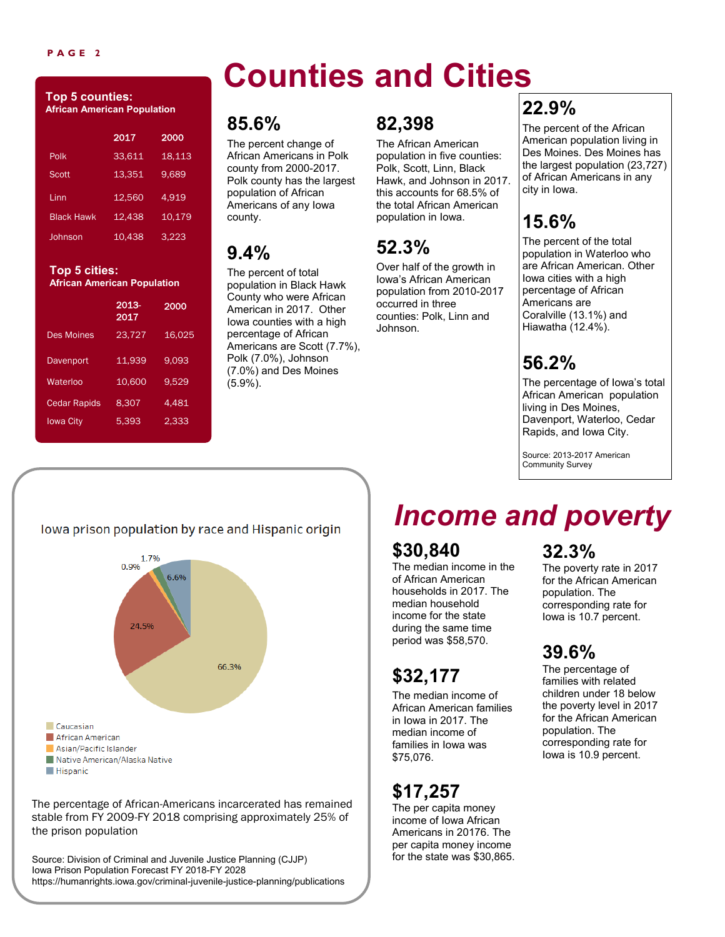#### **P A G E 2**

#### **Top 5 counties: African American Population**

|                   | 2017   | 2000   |
|-------------------|--------|--------|
| Polk              | 33,611 | 18,113 |
| Scott             | 13,351 | 9,689  |
| I inn             | 12.560 | 4.919  |
| <b>Black Hawk</b> | 12.438 | 10,179 |
| Johnson           | 10.438 | 3.223  |
|                   |        |        |

#### **Top 5 cities: African American Population**

|                     | 2013-<br>2017 | 2000   |
|---------------------|---------------|--------|
| <b>Des Moines</b>   | 23,727        | 16.025 |
| Davenport           | 11,939        | 9,093  |
| Waterloo            | 10.600        | 9,529  |
| <b>Cedar Rapids</b> | 8.307         | 4.481  |
| <b>Iowa City</b>    | 5,393         | 2,333  |

# **Counties and Cities**

## **85.6%**

The percent change of African Americans in Polk county from 2000-2017. Polk county has the largest population of African Americans of any Iowa county.

# **9.4%**

The percent of total population in Black Hawk County who were African American in 2017. Other Iowa counties with a high percentage of African Americans are Scott (7.7%), Polk (7.0%), Johnson (7.0%) and Des Moines (5.9%).

## **82,398**

The African American population in five counties: Polk, Scott, Linn, Black Hawk, and Johnson in 2017. this accounts for 68.5% of the total African American population in Iowa.

# **52.3%**

Over half of the growth in Iowa's African American population from 2010-2017 occurred in three counties: Polk, Linn and Johnson.

# **22.9%**

The percent of the African American population living in Des Moines. Des Moines has the largest population (23,727) of African Americans in any city in Iowa.

# **15.6%**

The percent of the total population in Waterloo who are African American. Other Iowa cities with a high percentage of African Americans are Coralville (13.1%) and Hiawatha (12.4%).

# **56.2%**

The percentage of Iowa's total African American population living in Des Moines, Davenport, Waterloo, Cedar Rapids, and Iowa City.

Source: 2013-2017 American Community Survey

#### lowa prison population by race and Hispanic origin



The percentage of African-Americans incarcerated has remained stable from FY 2009-FY 2018 comprising approximately 25% of the prison population

Source: Division of Criminal and Juvenile Justice Planning (CJJP) Iowa Prison Population Forecast FY 2018-FY 2028 https://humanrights.iowa.gov/criminal-juvenile-justice-planning/publications

# *Income and poverty*

# **\$30,840**

The median income in the of African American households in 2017. The median household income for the state during the same time period was \$58,570.

# **\$32,177**

The median income of African American families in Iowa in 2017. The median income of families in Iowa was \$75,076.

# **\$17,257**

The per capita money income of Iowa African Americans in 20176. The per capita money income for the state was \$30,865.

# **32.3%**

The poverty rate in 2017 for the African American population. The corresponding rate for Iowa is 10.7 percent.

# **39.6%**

The percentage of families with related children under 18 below the poverty level in 2017 for the African American population. The corresponding rate for Iowa is 10.9 percent.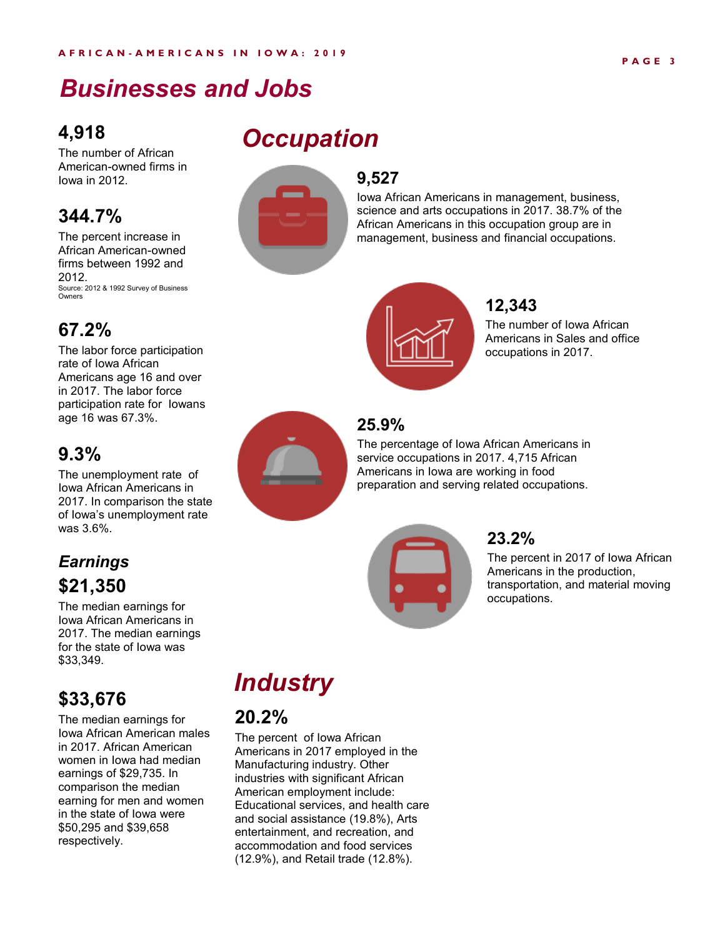# *Businesses and Jobs*

## **4,918**

The number of African American-owned firms in Iowa in 2012.

### **344.7%**

The percent increase in African American-owned firms between 1992 and 2012. Source: 2012 & 1992 Survey of Business Owners

## **67.2%**

The labor force participation rate of Iowa African Americans age 16 and over in 2017. The labor force participation rate for Iowans age 16 was 67.3%.

## **9.3%**

The unemployment rate of Iowa African Americans in 2017. In comparison the state of Iowa's unemployment rate was 3.6%.

## *Earnings* **\$21,350**

The median earnings for Iowa African Americans in 2017. The median earnings for the state of Iowa was \$33,349.

# **\$33,676**

The median earnings for Iowa African American males in 2017. African American women in Iowa had median earnings of \$29,735. In comparison the median earning for men and women in the state of Iowa were \$50,295 and \$39,658 respectively.

# *Occupation*



### **9,527**

Iowa African Americans in management, business, science and arts occupations in 2017. 38.7% of the African Americans in this occupation group are in management, business and financial occupations.



### **12,343**

The number of Iowa African Americans in Sales and office occupations in 2017.

### **25.9%**

The percentage of Iowa African Americans in service occupations in 2017. 4,715 African Americans in Iowa are working in food preparation and serving related occupations.



#### **23.2%**

The percent in 2017 of Iowa African Americans in the production, transportation, and material moving occupations.

# *Industry*

## **20.2%**

The percent of Iowa African Americans in 2017 employed in the Manufacturing industry. Other industries with significant African American employment include: Educational services, and health care and social assistance (19.8%), Arts entertainment, and recreation, and accommodation and food services (12.9%), and Retail trade (12.8%).